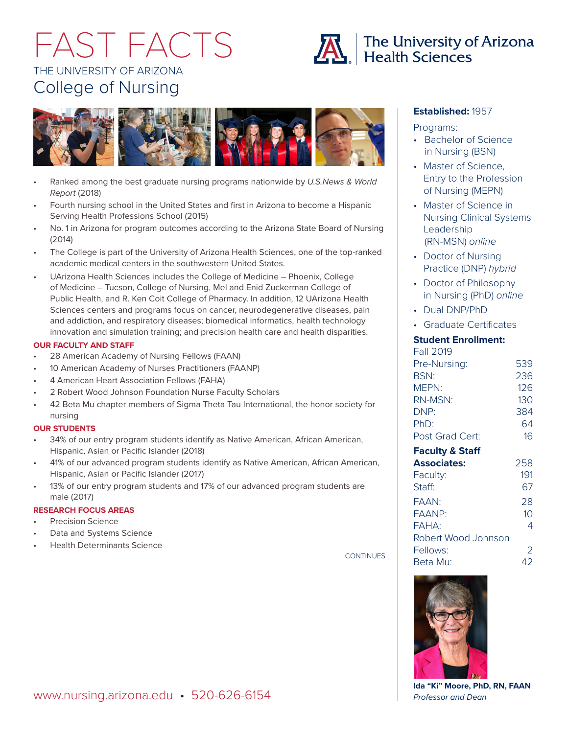# THE UNIVERSITY OF ARIZONA College of Nursing FAST FACTS



- Ranked among the best graduate nursing programs nationwide by *U.S.News & World Report* (2018)
- Fourth nursing school in the United States and first in Arizona to become a Hispanic Serving Health Professions School (2015)
- No. 1 in Arizona for program outcomes according to the Arizona State Board of Nursing (2014)
- The College is part of the University of Arizona Health Sciences, one of the top-ranked academic medical centers in the southwestern United States.
- UArizona Health Sciences includes the College of Medicine Phoenix, College of Medicine – Tucson, College of Nursing, Mel and Enid Zuckerman College of Public Health, and R. Ken Coit College of Pharmacy. In addition, 12 UArizona Health Sciences centers and programs focus on cancer, neurodegenerative diseases, pain and addiction, and respiratory diseases; biomedical informatics, health technology innovation and simulation training; and precision health care and health disparities.

#### **OUR FACULTY AND STAFF**

- 28 American Academy of Nursing Fellows (FAAN)
- 10 American Academy of Nurses Practitioners (FAANP)
- 4 American Heart Association Fellows (FAHA)
- 2 Robert Wood Johnson Foundation Nurse Faculty Scholars
- 42 Beta Mu chapter members of Sigma Theta Tau International, the honor society for nursing

#### **OUR STUDENTS**

- 34% of our entry program students identify as Native American, African American, Hispanic, Asian or Pacific Islander (2018)
- 41% of our advanced program students identify as Native American, African American, Hispanic, Asian or Pacific Islander (2017)
- 13% of our entry program students and 17% of our advanced program students are male (2017)

#### **RESEARCH FOCUS AREAS**

- Precision Science
- Data and Systems Science
- Health Determinants Science

**CONTINUES** 

#### **Established:** 1957

Programs:

- Bachelor of Science in Nursing (BSN)
- Master of Science, Entry to the Profession of Nursing (MEPN)
- Master of Science in Nursing Clinical Systems Leadership (RN-MSN) *online*
- Doctor of Nursing Practice (DNP) *hybrid*
- Doctor of Philosophy in Nursing (PhD) *online*
- Dual DNP/PhD
- Graduate Certificates

### **Student Enrollment:**

| Fall 2019       |     |
|-----------------|-----|
| Pre-Nursing:    | 539 |
| <b>BSN:</b>     | 236 |
| MEPN:           | 126 |
| RN-MSN:         | 130 |
| DNP:            | 384 |
| PhD:            | 64  |
| Post Grad Cert: | 16  |
|                 |     |

| <b>Faculty &amp; Staff</b> |     |
|----------------------------|-----|
| <b>Associates:</b>         | 258 |
| Faculty:                   | 191 |
| Staff:                     | 67  |
| FAAN <sup>.</sup>          | 28  |
| FAANP:                     | 10  |
| FAHA:                      | 4   |
| Robert Wood Johnson        |     |
| Fellows:                   | 2   |
| Beta Mu:                   | 42  |



**Ida "Ki" Moore, PhD, RN, FAAN** *Professor and Dean*